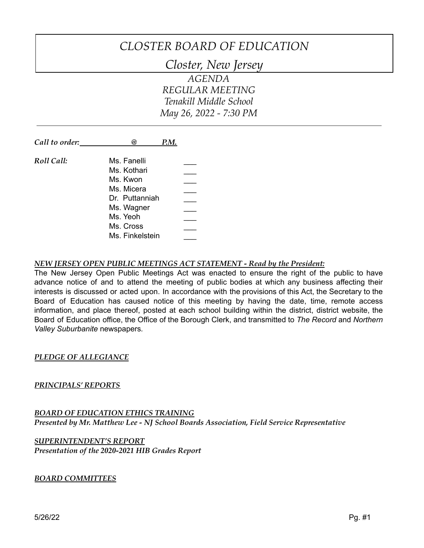# *CLOSTER BOARD OF EDUCATION*

*Closter, New Jersey*

*AGENDA REGULAR MEETING Tenakill Middle School May 26, 2022 - 7:30 PM*

| Call to order: | P.M.<br>ω)      |  |
|----------------|-----------------|--|
| Roll Call:     | Ms. Fanelli     |  |
|                | Ms. Kothari     |  |
|                | Ms. Kwon        |  |
|                | Ms. Micera      |  |
|                | Dr. Puttanniah  |  |
|                | Ms. Wagner      |  |
|                | Ms. Yeoh        |  |
|                | Ms. Cross       |  |
|                | Ms. Finkelstein |  |

#### *NEW JERSEY OPEN PUBLIC MEETINGS ACT STATEMENT - Read by the President:*

The New Jersey Open Public Meetings Act was enacted to ensure the right of the public to have advance notice of and to attend the meeting of public bodies at which any business affecting their interests is discussed or acted upon. In accordance with the provisions of this Act, the Secretary to the Board of Education has caused notice of this meeting by having the date, time, remote access information, and place thereof, posted at each school building within the district, district website, the Board of Education office, the Office of the Borough Clerk, and transmitted to *The Record* and *Northern Valley Suburbanite* newspapers*.*

#### *PLEDGE OF ALLEGIANCE*

#### *PRINCIPALS' REPORTS*

# *BOARD OF EDUCATION ETHICS TRAINING Presented by Mr. Matthew Lee - NJ School Boards Association, Field Service Representative*

#### *SUPERINTENDENT'S REPORT Presentation of the 2020-2021 HIB Grades Report*

#### *BOARD COMMITTEES*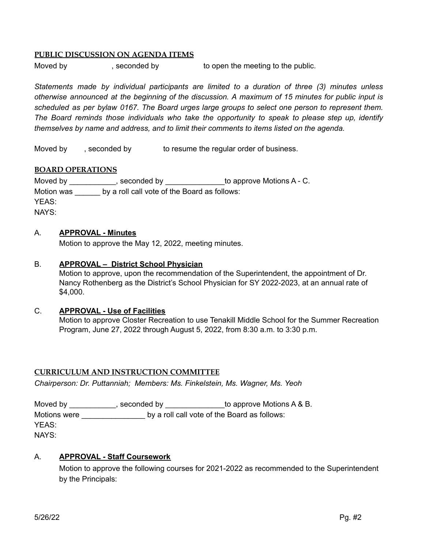#### **PUBLIC DISCUSSION ON AGENDA ITEMS**

Moved by example by to open the meeting to the public.

*Statements made by individual participants are limited to a duration of three (3) minutes unless otherwise announced at the beginning of the discussion. A maximum of 15 minutes for public input is scheduled as per bylaw 0167. The Board urges large groups to select one person to represent them. The Board reminds those individuals who take the opportunity to speak to please step up, identify themselves by name and address, and to limit their comments to items listed on the agenda.*

Moved by , seconded by to resume the regular order of business.

#### **BOARD OPERATIONS**

Moved by \_\_\_\_\_\_\_\_\_\_\_, seconded by \_\_\_\_\_\_\_\_\_\_\_\_\_\_\_to approve Motions A - C. Motion was by a roll call vote of the Board as follows: YEAS: NAYS:

#### A. **APPROVAL - Minutes**

Motion to approve the May 12, 2022, meeting minutes.

#### B. **APPROVAL – District School Physician**

Motion to approve, upon the recommendation of the Superintendent, the appointment of Dr. Nancy Rothenberg as the District's School Physician for SY 2022-2023, at an annual rate of \$4,000.

#### C. **APPROVAL - Use of Facilities**

Motion to approve Closter Recreation to use Tenakill Middle School for the Summer Recreation Program, June 27, 2022 through August 5, 2022, from 8:30 a.m. to 3:30 p.m.

#### **CURRICULUM AND INSTRUCTION COMMITTEE**

*Chairperson: Dr. Puttanniah; Members: Ms. Finkelstein, Ms. Wagner, Ms. Yeoh*

Moved by \_\_\_\_\_\_\_\_\_\_\_, seconded by \_\_\_\_\_\_\_\_\_\_\_\_\_\_\_to approve Motions A & B. Motions were \_\_\_\_\_\_\_\_\_\_\_\_\_\_\_\_\_\_\_ by a roll call vote of the Board as follows: YEAS: NAYS:

#### A. **APPROVAL - Staff Coursework**

Motion to approve the following courses for 2021-2022 as recommended to the Superintendent by the Principals: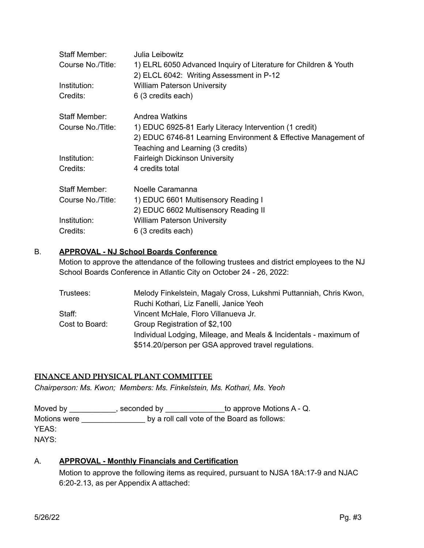| Julia Leibowitz<br>1) ELRL 6050 Advanced Inquiry of Literature for Children & Youth<br>2) ELCL 6042: Writing Assessment in P-12 |
|---------------------------------------------------------------------------------------------------------------------------------|
| <b>William Paterson University</b>                                                                                              |
| 6 (3 credits each)                                                                                                              |
| Andrea Watkins                                                                                                                  |
| 1) EDUC 6925-81 Early Literacy Intervention (1 credit)                                                                          |
| 2) EDUC 6746-81 Learning Environment & Effective Management of                                                                  |
| Teaching and Learning (3 credits)                                                                                               |
| <b>Fairleigh Dickinson University</b>                                                                                           |
| 4 credits total                                                                                                                 |
| Noelle Caramanna                                                                                                                |
| 1) EDUC 6601 Multisensory Reading I                                                                                             |
| 2) EDUC 6602 Multisensory Reading II                                                                                            |
| <b>William Paterson University</b>                                                                                              |
| 6 (3 credits each)                                                                                                              |
|                                                                                                                                 |

#### B. **APPROVAL - NJ School Boards Conference**

Motion to approve the attendance of the following trustees and district employees to the NJ School Boards Conference in Atlantic City on October 24 - 26, 2022:

| Melody Finkelstein, Magaly Cross, Lukshmi Puttanniah, Chris Kwon, |
|-------------------------------------------------------------------|
| Ruchi Kothari, Liz Fanelli, Janice Yeoh                           |
| Vincent McHale, Floro Villanueva Jr.                              |
| Group Registration of \$2,100                                     |
| Individual Lodging, Mileage, and Meals & Incidentals - maximum of |
| \$514.20/person per GSA approved travel regulations.              |
|                                                                   |

# **FINANCE AND PHYSICAL PLANT COMMITTEE**

*Chairperson: Ms. Kwon; Members: Ms. Finkelstein, Ms. Kothari, Ms. Yeoh*

Moved by \_\_\_\_\_\_\_\_\_\_, seconded by \_\_\_\_\_\_\_\_\_\_\_\_\_\_to approve Motions A - Q. Motions were **we are allowed** by a roll call vote of the Board as follows: YEAS: NAYS:

# A. **APPROVAL - Monthly Financials and Certification**

Motion to approve the following items as required, pursuant to NJSA 18A:17-9 and NJAC 6:20-2.13, as per Appendix A attached: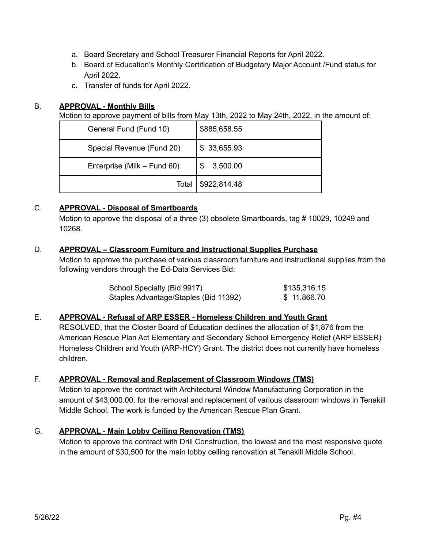- a. Board Secretary and School Treasurer Financial Reports for April 2022.
- b. Board of Education's Monthly Certification of Budgetary Major Account /Fund status for April 2022.
- c. Transfer of funds for April 2022.

# B. **APPROVAL - Monthly Bills**

Motion to approve payment of bills from May 13th, 2022 to May 24th, 2022, in the amount of:

| General Fund (Fund 10)      | \$885,658.55    |
|-----------------------------|-----------------|
| Special Revenue (Fund 20)   | \$ 33,655.93    |
| Enterprise (Milk – Fund 60) | 3,500.00<br>\$. |
| Total                       | \$922,814.48    |

# C. **APPROVAL - Disposal of Smartboards**

Motion to approve the disposal of a three (3) obsolete Smartboards, tag # 10029, 10249 and 10268.

# D. **APPROVAL – Classroom Furniture and Instructional Supplies Purchase**

Motion to approve the purchase of various classroom furniture and instructional supplies from the following vendors through the Ed-Data Services Bid:

| School Specialty (Bid 9917)           | \$135,316.15 |
|---------------------------------------|--------------|
| Staples Advantage/Staples (Bid 11392) | \$11,866.70  |

# E. **APPROVAL - Refusal of ARP ESSER - Homeless Children and Youth Grant**

RESOLVED, that the Closter Board of Education declines the allocation of \$1,876 from the American Rescue Plan Act Elementary and Secondary School Emergency Relief (ARP ESSER) Homeless Children and Youth (ARP-HCY) Grant. The district does not currently have homeless children.

# F. **APPROVAL - Removal and Replacement of Classroom Windows (TMS)**

Motion to approve the contract with Architectural Window Manufacturing Corporation in the amount of \$43,000.00, for the removal and replacement of various classroom windows in Tenakill Middle School. The work is funded by the American Rescue Plan Grant.

# G. **APPROVAL - Main Lobby Ceiling Renovation (TMS)**

Motion to approve the contract with Drill Construction, the lowest and the most responsive quote in the amount of \$30,500 for the main lobby ceiling renovation at Tenakill Middle School.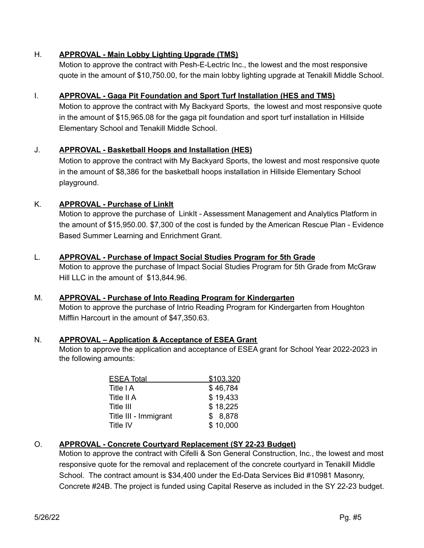# H. **APPROVAL - Main Lobby Lighting Upgrade (TMS)**

Motion to approve the contract with Pesh-E-Lectric Inc., the lowest and the most responsive quote in the amount of \$10,750.00, for the main lobby lighting upgrade at Tenakill Middle School.

# I. **APPROVAL - Gaga Pit Foundation and Sport Turf Installation (HES and TMS)**

Motion to approve the contract with My Backyard Sports, the lowest and most responsive quote in the amount of \$15,965.08 for the gaga pit foundation and sport turf installation in Hillside Elementary School and Tenakill Middle School.

# J. **APPROVAL - Basketball Hoops and Installation (HES)**

Motion to approve the contract with My Backyard Sports, the lowest and most responsive quote in the amount of \$8,386 for the basketball hoops installation in Hillside Elementary School playground.

# K. **APPROVAL - Purchase of LinkIt**

Motion to approve the purchase of LinkIt - Assessment Management and Analytics Platform in the amount of \$15,950.00. \$7,300 of the cost is funded by the American Rescue Plan - Evidence Based Summer Learning and Enrichment Grant.

# L. **APPROVAL - Purchase of Impact Social Studies Program for 5th Grade**

Motion to approve the purchase of Impact Social Studies Program for 5th Grade from McGraw Hill LLC in the amount of \$13,844.96.

# M. **APPROVAL - Purchase of Into Reading Program for Kindergarten**

Motion to approve the purchase of Intrio Reading Program for Kindergarten from Houghton Mifflin Harcourt in the amount of \$47,350.63.

# N. **APPROVAL – Application & Acceptance of ESEA Grant**

Motion to approve the application and acceptance of ESEA grant for School Year 2022-2023 in the following amounts:

| \$103,320 |
|-----------|
| \$46,784  |
| \$19,433  |
| \$18,225  |
| \$8,878   |
| \$10,000  |
|           |

# O. **APPROVAL - Concrete Courtyard Replacement (SY 22-23 Budget)**

Motion to approve the contract with Cifelli & Son General Construction, Inc., the lowest and most responsive quote for the removal and replacement of the concrete courtyard in Tenakill Middle School. The contract amount is \$34,400 under the Ed-Data Services Bid #10981 Masonry, Concrete #24B. The project is funded using Capital Reserve as included in the SY 22-23 budget.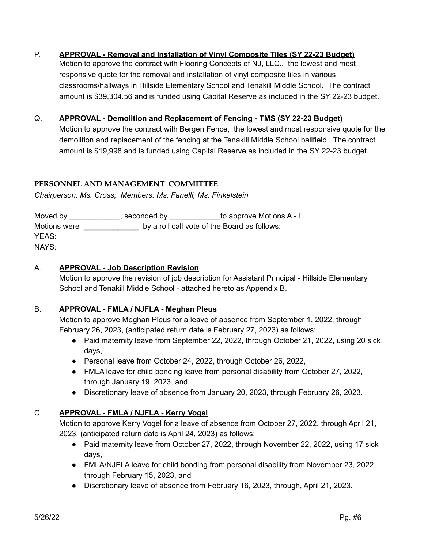# P. **APPROVAL - Removal and Installation of Vinyl Composite Tiles (SY 22-23 Budget)**

Motion to approve the contract with Flooring Concepts of NJ, LLC., the lowest and most responsive quote for the removal and installation of vinyl composite tiles in various classrooms/hallways in Hillside Elementary School and Tenakill Middle School. The contract amount is \$39,304.56 and is funded using Capital Reserve as included in the SY 22-23 budget.

# Q. **APPROVAL - Demolition and Replacement of Fencing - TMS (SY 22-23 Budget)**

Motion to approve the contract with Bergen Fence, the lowest and most responsive quote for the demolition and replacement of the fencing at the Tenakill Middle School ballfield. The contract amount is \$19,998 and is funded using Capital Reserve as included in the SY 22-23 budget.

#### **PERSONNEL AND MANAGEMENT COMMITTEE**

*Chairperson: Ms. Cross; Members: Ms. Fanelli, Ms. Finkelstein*

| Moved by     | , seconded by | to approve Motions A - L.                    |
|--------------|---------------|----------------------------------------------|
| Motions were |               | by a roll call vote of the Board as follows: |
| YEAS:        |               |                                              |
| NAYS:        |               |                                              |

# A. **APPROVAL - Job Description Revision**

Motion to approve the revision of job description for Assistant Principal - Hillside Elementary School and Tenakill Middle School - attached hereto as Appendix B.

# B. **APPROVAL - FMLA / NJFLA - Meghan Pleus**

Motion to approve Meghan Pleus for a leave of absence from September 1, 2022, through February 26, 2023, (anticipated return date is February 27, 2023) as follows:

- Paid maternity leave from September 22, 2022, through October 21, 2022, using 20 sick days,
- Personal leave from October 24, 2022, through October 26, 2022,
- FMLA leave for child bonding leave from personal disability from October 27, 2022, through January 19, 2023, and
- Discretionary leave of absence from January 20, 2023, through February 26, 2023.

# C. **APPROVAL - FMLA / NJFLA - Kerry Vogel**

Motion to approve Kerry Vogel for a leave of absence from October 27, 2022, through April 21, 2023, (anticipated return date is April 24, 2023) as follows:

- Paid maternity leave from October 27, 2022, through November 22, 2022, using 17 sick days,
- FMLA/NJFLA leave for child bonding from personal disability from November 23, 2022, through February 15, 2023, and
- Discretionary leave of absence from February 16, 2023, through, April 21, 2023.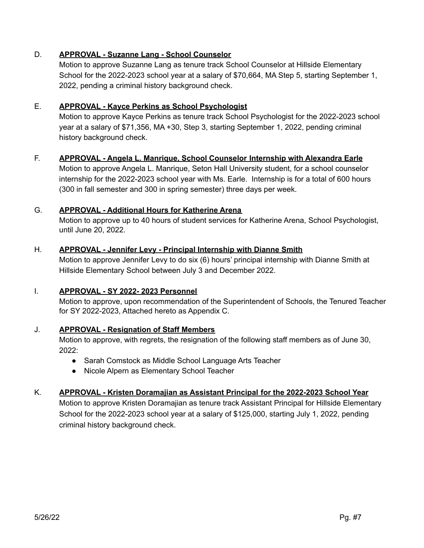# D. **APPROVAL - Suzanne Lang - School Counselor**

Motion to approve Suzanne Lang as tenure track School Counselor at Hillside Elementary School for the 2022-2023 school year at a salary of \$70,664, MA Step 5, starting September 1, 2022, pending a criminal history background check.

#### E. **APPROVAL - Kayce Perkins as School Psychologist**

Motion to approve Kayce Perkins as tenure track School Psychologist for the 2022-2023 school year at a salary of \$71,356, MA +30, Step 3, starting September 1, 2022, pending criminal history background check.

#### F. **APPROVAL - Angela L. Manrique, School Counselor Internship with Alexandra Earle**

Motion to approve Angela L. Manrique, Seton Hall University student, for a school counselor internship for the 2022-2023 school year with Ms. Earle. Internship is for a total of 600 hours (300 in fall semester and 300 in spring semester) three days per week.

#### G. **APPROVAL - Additional Hours for Katherine Arena**

Motion to approve up to 40 hours of student services for Katherine Arena, School Psychologist, until June 20, 2022.

#### H. **APPROVAL - Jennifer Levy - Principal Internship with Dianne Smith**

Motion to approve Jennifer Levy to do six (6) hours' principal internship with Dianne Smith at Hillside Elementary School between July 3 and December 2022.

#### I. **APPROVAL - SY 2022- 2023 Personnel**

Motion to approve, upon recommendation of the Superintendent of Schools, the Tenured Teacher for SY 2022-2023, Attached hereto as Appendix C.

# J. **APPROVAL - Resignation of Staff Members**

Motion to approve, with regrets, the resignation of the following staff members as of June 30, 2022:

- Sarah Comstock as Middle School Language Arts Teacher
- Nicole Alpern as Elementary School Teacher

# K. **APPROVAL - Kristen Doramajian as Assistant Principal for the 2022-2023 School Year**

Motion to approve Kristen Doramajian as tenure track Assistant Principal for Hillside Elementary School for the 2022-2023 school year at a salary of \$125,000, starting July 1, 2022, pending criminal history background check.